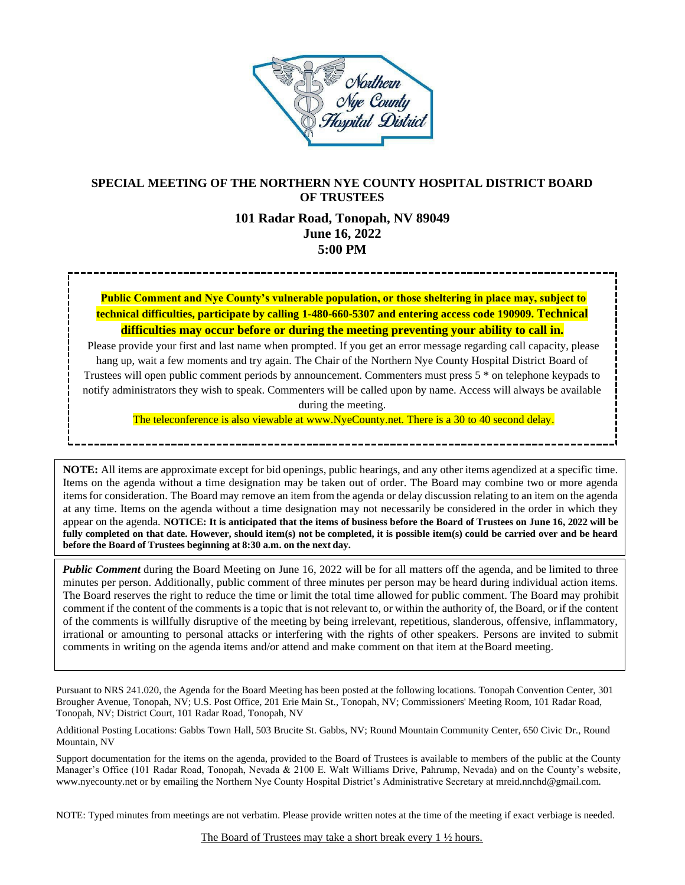

# **SPECIAL MEETING OF THE NORTHERN NYE COUNTY HOSPITAL DISTRICT BOARD OF TRUSTEES**

# **101 Radar Road, Tonopah, NV 89049 June 16, 2022 5:00 PM**

**Public Comment and Nye County's vulnerable population, or those sheltering in place may, subject to technical difficulties, participate by calling 1-480-660-5307 and entering access code 190909. Technical difficulties may occur before or during the meeting preventing your ability to call in.**

Please provide your first and last name when prompted. If you get an error message regarding call capacity, please hang up, wait a few moments and try again. The Chair of the Northern Nye County Hospital District Board of Trustees will open public comment periods by announcement. Commenters must press 5 \* on telephone keypads to notify administrators they wish to speak. Commenters will be called upon by name. Access will always be available during the meeting.

The teleconference is also viewable at www.NyeCounty.net. There is a 30 to 40 second delay.

**NOTE:** All items are approximate except for bid openings, public hearings, and any other items agendized at a specific time. Items on the agenda without a time designation may be taken out of order. The Board may combine two or more agenda itemsfor consideration. The Board may remove an item from the agenda or delay discussion relating to an item on the agenda at any time. Items on the agenda without a time designation may not necessarily be considered in the order in which they appear on the agenda. **NOTICE: It is anticipated that the items of business before the Board of Trustees on June 16, 2022 will be fully completed on that date. However, should item(s) not be completed, it is possible item(s) could be carried over and be heard before the Board of Trustees beginning at 8:30 a.m. on the next day.**

*Public Comment* during the Board Meeting on June 16, 2022 will be for all matters off the agenda, and be limited to three minutes per person. Additionally, public comment of three minutes per person may be heard during individual action items. The Board reserves the right to reduce the time or limit the total time allowed for public comment. The Board may prohibit comment if the content of the comments is a topic that is not relevant to, or within the authority of, the Board, or if the content of the comments is willfully disruptive of the meeting by being irrelevant, repetitious, slanderous, offensive, inflammatory, irrational or amounting to personal attacks or interfering with the rights of other speakers. Persons are invited to submit comments in writing on the agenda items and/or attend and make comment on that item at theBoard meeting.

Pursuant to NRS 241.020, the Agenda for the Board Meeting has been posted at the following locations. Tonopah Convention Center, 301 Brougher Avenue, Tonopah, NV; U.S. Post Office, 201 Erie Main St., Tonopah, NV; Commissioners' Meeting Room, 101 Radar Road, Tonopah, NV; District Court, 101 Radar Road, Tonopah, NV

Additional Posting Locations: Gabbs Town Hall, 503 Brucite St. Gabbs, NV; Round Mountain Community Center, 650 Civic Dr., Round Mountain, NV

Support documentation for the items on the agenda, provided to the Board of Trustees is available to members of the public at the County Manager's Office (101 Radar Road, Tonopah, Nevada & 2100 E. Walt Williams Drive, Pahrump, Nevada) and on the County's website, [www.nyecounty.net](http://www.nyecounty.net/) or by emailing the Northern Nye County Hospital District's Administrative Secretary at mrei[d.nnchd@gmail.com.](mailto:nnchd@gmail.com.)

NOTE: Typed minutes from meetings are not verbatim. Please provide written notes at the time of the meeting if exact verbiage is needed.

The Board of Trustees may take a short break every 1 ½ hours.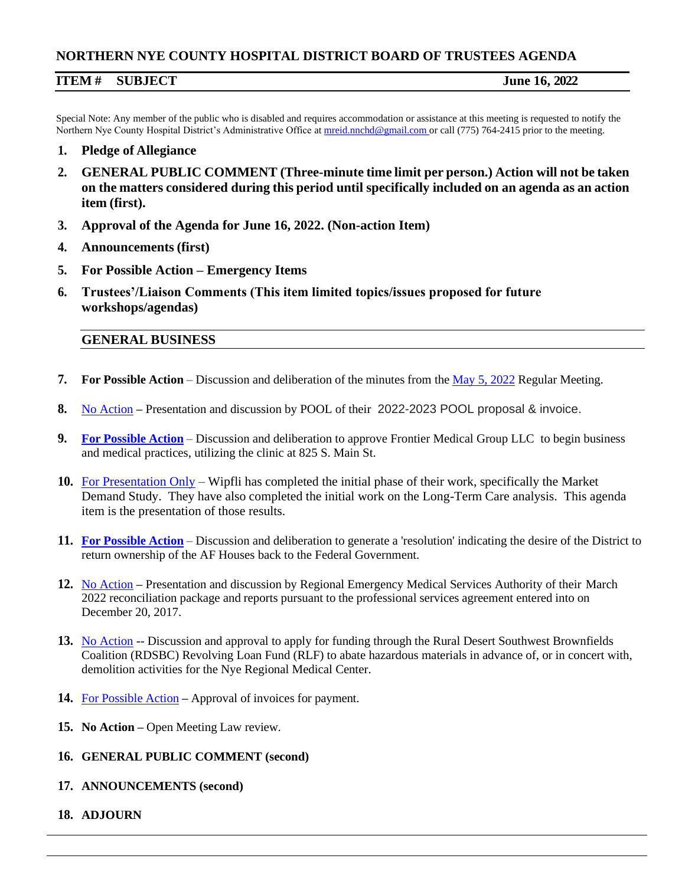# **NORTHERN NYE COUNTY HOSPITAL DISTRICT BOARD OF TRUSTEES AGENDA**

## **ITEM # SUBJECT June 16, 2022**

Special Note: Any member of the public who is disabled and requires accommodation or assistance at this meeting is requested to notify the Northern Nye County Hospital District's Administrative Office at [mreid.nnchd@gmail.com o](mailto:mreid.nnchd@gmail.com)r call (775) 764-2415 prior to the meeting.

- **1. Pledge of Allegiance**
- **2. GENERAL PUBLIC COMMENT (Three-minute time limit per person.) Action will not be taken on the matters considered during this period until specifically included on an agenda as an action item (first).**
- **3. Approval of the Agenda for June 16, 2022. (Non-action Item)**
- **4. Announcements (first)**
- **5. For Possible Action – Emergency Items**
- **6. Trustees'/Liaison Comments (This item limited topics/issues proposed for future workshops/agendas)**

#### **GENERAL BUSINESS**

- **7. For Possible Action** Discussion and deliberation of the minutes from the [May 5, 2022](https://www.nyecountynv.gov/DocumentCenter/View/41364/552022-Minutes) Regular Meeting.
- **8.** [No Action](https://www.nyecountynv.gov/DocumentCenter/View/41365/2022-NPAIP-Renewal-Proposal---Northern-Nye-County-Hospital-District) **–** Presentation and discussion by POOL of their 2022-2023 POOL proposal & invoice.
- **9. For [Possible](https://www.nyecountynv.gov/DocumentCenter/View/41367/FRONTIER-MEDICAL-GROUP-PROPOSAL) Action** Discussion and deliberation to approve Frontier Medical Group LLC to begin business and medical practices, utilizing the clinic at 825 S. Main St.
- **10.** [For Presentation Only](https://www.nyecountynv.gov/DocumentCenter/View/41370/Wipfli-Market-Demand-Presentation-16-June-2022) Wipfli has completed the initial phase of their work, specifically the Market Demand Study. They have also completed the initial work on the Long-Term Care analysis. This agenda item is the presentation of those results.
- **11. For [Possible](https://www.nyecountynv.gov/DocumentCenter/View/41366/AF-House-Resolution) Action** Discussion and deliberation to generate a 'resolution' indicating the desire of the District to return ownership of the AF Houses back to the Federal Government.
- **12.** [No Action](https://www.nyecountynv.gov/DocumentCenter/View/41369/REMSA-Monthly-Report-April-2022) **–** Presentation and discussion by Regional Emergency Medical Services Authority of their March 2022 reconciliation package and reports pursuant to the professional services agreement entered into on December 20, 2017.
- 13. [No Action](https://www.nyecountynv.gov/DocumentCenter/View/41368/RDSBC-RLF-Presentation) -- Discussion and approval to apply for funding through the Rural Desert Southwest Brownfields Coalition (RDSBC) Revolving Loan Fund (RLF) to abate hazardous materials in advance of, or in concert with, demolition activities for the Nye Regional Medical Center.
- **14.** For [Possible](https://www.nyecountynv.gov/DocumentCenter/View/41371/Galli-Invoice-060122) Action **–** Approval of invoices for payment.
- **15. No Action –** Open Meeting Law review.
- **16. GENERAL PUBLIC COMMENT (second)**
- **17. ANNOUNCEMENTS (second)**
- **18. ADJOURN**